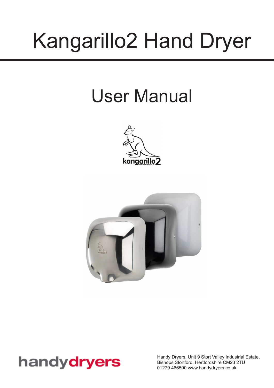# Kangarillo2 Hand Dryer

## User Manual





### handydryers

Handy Dryers, Unit 9 Stort Valley Industrial Estate, Bishops Stortford, Hertfordshire CM23 2TU 01279 466500 <www.handydryers.co.uk>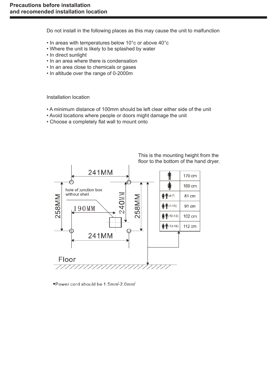Do not install in the following places as this may cause the unit to malfunction

- In areas with temperatures below 10°c or above 40°c
- Where the unit is likely to be splashed by water
- In direct sunlight
- In an area where there is condensation
- In an area close to chemicals or gases
- In altitude over the range of 0-2000m

Installation location

- A minimum distance of 100mm should be left clear either side of the unit
- Avoid locations where people or doors might damage the unit
- Choose a completely flat wall to mount onto



This is the mounting height from the floor to the bottom of the hand dryer.

\*Power cord should be 1.5mm<sup>2</sup>-2.0mm<sup>2</sup>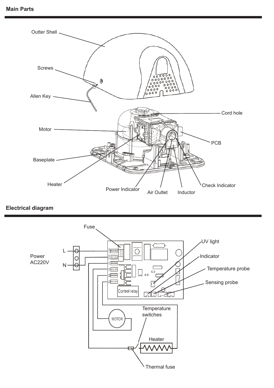

**Electrical diagram**

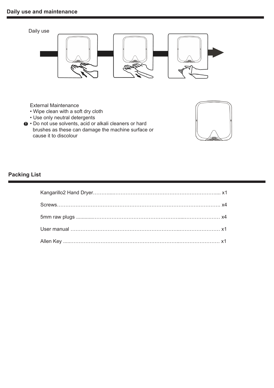

External Maintenance

- Wipe clean with a soft dry cloth
- Use only neutral detergents
- $\bullet\cdot$  Do not use solvents, acid or alkali cleaners or hard brushes as these can damage the machine surface or cause it to discolour



#### **Packing List**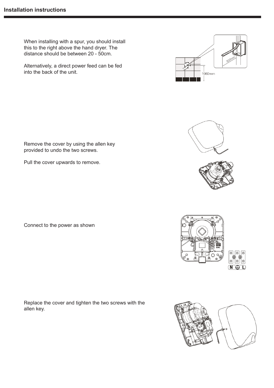When installing with a spur, you should install this to the right above the hand dryer. The distance should be between 20 - 50cm.

Alternatively, a direct power feed can be fed into the back of the unit.

Remove the cover by using the allen key provided to undo the two screws.

Pull the cover upwards to remove.

Connect to the power as shown

Replace the cover and tighten the two screws with the allen key.